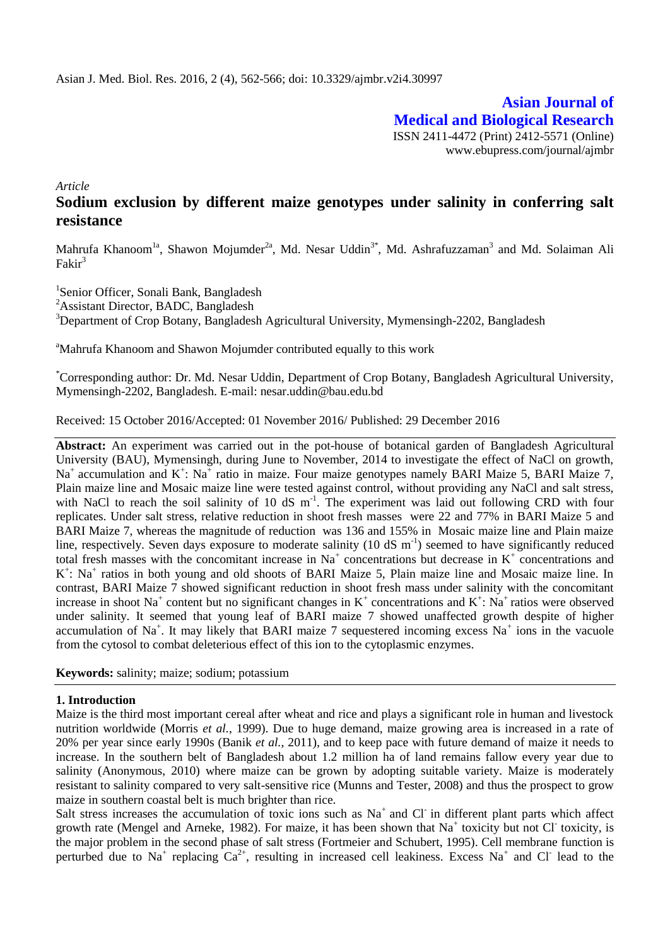**Asian Journal of Medical and Biological Research** ISSN 2411-4472 (Print) 2412-5571 (Online) www.ebupress.com/journal/ajmbr

*Article*

# **Sodium exclusion by different maize genotypes under salinity in conferring salt resistance**

Mahrufa Khanoom<sup>1a</sup>, Shawon Mojumder<sup>2a</sup>, Md. Nesar Uddin<sup>3\*</sup>, Md. Ashrafuzzaman<sup>3</sup> and Md. Solaiman Ali  $Fakir<sup>3</sup>$ 

1 Senior Officer, Sonali Bank, Bangladesh <sup>2</sup>Assistant Director, BADC, Bangladesh <sup>3</sup>Department of Crop Botany, Bangladesh Agricultural University, Mymensingh-2202, Bangladesh

<sup>a</sup>Mahrufa Khanoom and Shawon Mojumder contributed equally to this work

\*Corresponding author: Dr. Md. Nesar Uddin, Department of Crop Botany, Bangladesh Agricultural University, Mymensingh-2202, Bangladesh. E-mail: nesar.uddin@bau.edu.bd

Received: 15 October 2016/Accepted: 01 November 2016/ Published: 29 December 2016

**Abstract:** An experiment was carried out in the pot-house of botanical garden of Bangladesh Agricultural University (BAU), Mymensingh, during June to November, 2014 to investigate the effect of NaCl on growth,  $Na<sup>+</sup>$  accumulation and  $K<sup>+</sup>$ : Na<sup>+</sup> ratio in maize. Four maize genotypes namely BARI Maize 5, BARI Maize 7, Plain maize line and Mosaic maize line were tested against control, without providing any NaCl and salt stress, with NaCl to reach the soil salinity of 10 dS  $m^{-1}$ . The experiment was laid out following CRD with four replicates. Under salt stress, relative reduction in shoot fresh masses were 22 and 77% in BARI Maize 5 and BARI Maize 7, whereas the magnitude of reduction was 136 and 155% in Mosaic maize line and Plain maize line, respectively. Seven days exposure to moderate salinity  $(10 \text{ dS m}^{-1})$  seemed to have significantly reduced total fresh masses with the concomitant increase in Na<sup>+</sup> concentrations but decrease in  $K^+$  concentrations and K<sup>+</sup>: Na<sup>+</sup> ratios in both young and old shoots of BARI Maize 5, Plain maize line and Mosaic maize line. In contrast, BARI Maize 7 showed significant reduction in shoot fresh mass under salinity with the concomitant increase in shoot Na<sup>+</sup> content but no significant changes in  $K^+$  concentrations and  $K^+$ : Na<sup>+</sup> ratios were observed under salinity. It seemed that young leaf of BARI maize 7 showed unaffected growth despite of higher accumulation of Na<sup>+</sup>. It may likely that BARI maize 7 sequestered incoming excess Na<sup>+</sup> ions in the vacuole from the cytosol to combat deleterious effect of this ion to the cytoplasmic enzymes.

**Keywords:** salinity; maize; sodium; potassium

#### **1. Introduction**

Maize is the third most important cereal after wheat and rice and plays a significant role in human and livestock nutrition worldwide (Morris *et al.*, 1999). Due to huge demand, maize growing area is increased in a rate of 20% per year since early 1990s (Banik *et al.*, 2011), and to keep pace with future demand of maize it needs to increase. In the southern belt of Bangladesh about 1.2 million ha of land remains fallow every year due to salinity (Anonymous, 2010) where maize can be grown by adopting suitable variety. Maize is moderately resistant to salinity compared to very salt-sensitive rice (Munns and Tester, 2008) and thus the prospect to grow maize in southern coastal belt is much brighter than rice.

Salt stress increases the accumulation of toxic ions such as Na<sup>+</sup> and Cl in different plant parts which affect growth rate (Mengel and Arneke, 1982). For maize, it has been shown that Na<sup>+</sup> toxicity but not Cl toxicity, is the major problem in the second phase of salt stress (Fortmeier and Schubert, 1995). Cell membrane function is perturbed due to Na<sup>+</sup> replacing  $Ca^{2+}$ , resulting in increased cell leakiness. Excess Na<sup>+</sup> and Cl<sup>-</sup> lead to the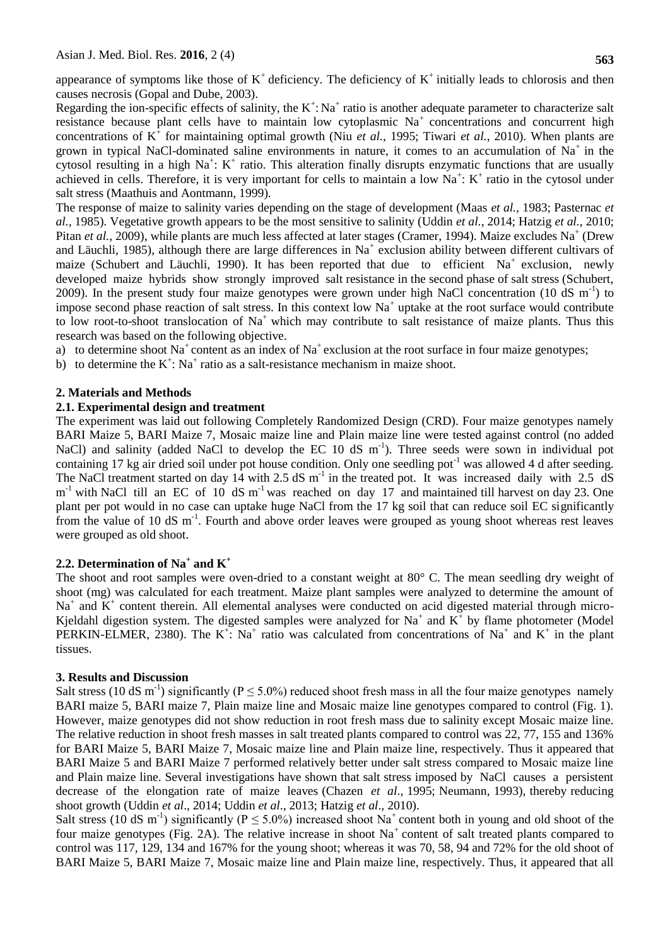appearance of symptoms like those of  $K^+$  deficiency. The deficiency of  $K^+$  initially leads to chlorosis and then causes necrosis (Gopal and Dube, 2003).

Regarding the ion-specific effects of salinity, the  $K^+$ : Na<sup>+</sup> ratio is another adequate parameter to characterize salt resistance because plant cells have to maintain low cytoplasmic  $Na<sup>+</sup>$  concentrations and concurrent high concentrations of  $K^{\dagger}$  for maintaining optimal growth (Niu *et al.*, 1995; Tiwari *et al.*, 2010). When plants are grown in typical NaCl-dominated saline environments in nature, it comes to an accumulation of  $Na<sup>+</sup>$  in the cytosol resulting in a high Na<sup>+</sup>: K<sup>+</sup> ratio. This alteration finally disrupts enzymatic functions that are usually achieved in cells. Therefore, it is very important for cells to maintain a low  $Na^+$ :  $K^+$  ratio in the cytosol under salt stress (Maathuis and Aontmann, 1999).

The response of maize to salinity varies depending on the stage of development (Maas *et al.,* 1983; Pasternac *et al.,* 1985). Vegetative growth appears to be the most sensitive to salinity (Uddin *et al.*, 2014; Hatzig *et al.*, 2010; Pitan *et al.*, 2009), while plants are much less affected at later stages (Cramer, 1994). Maize excludes Na<sup>+</sup> (Drew and Läuchli, 1985), although there are large differences in Na<sup>+</sup> exclusion ability between different cultivars of maize (Schubert and Läuchli, 1990). It has been reported that due to efficient Na<sup>+</sup> exclusion, newly developed maize hybrids show strongly improved salt resistance in the second phase of salt stress (Schubert, 2009). In the present study four maize genotypes were grown under high NaCl concentration (10 dS  $m^{-1}$ ) to impose second phase reaction of salt stress. In this context low  $Na<sup>+</sup>$  uptake at the root surface would contribute to low root-to-shoot translocation of  $Na^+$  which may contribute to salt resistance of maize plants. Thus this research was based on the following objective.

- a) to determine shoot  $Na<sup>+</sup>$  content as an index of  $Na<sup>+</sup>$  exclusion at the root surface in four maize genotypes;
- b) to determine the  $K^{\dagger}$ : Na<sup>+</sup> ratio as a salt-resistance mechanism in maize shoot.

## **2. Materials and Methods**

## **2.1. Experimental design and treatment**

The experiment was laid out following Completely Randomized Design (CRD). Four maize genotypes namely BARI Maize 5, BARI Maize 7, Mosaic maize line and Plain maize line were tested against control (no added NaCl) and salinity (added NaCl to develop the EC 10 dS m<sup>-1</sup>). Three seeds were sown in individual pot containing 17 kg air dried soil under pot house condition. Only one seedling pot<sup>-1</sup> was allowed 4 d after seeding. The NaCl treatment started on day  $14$  with 2.5 dS m<sup>-1</sup> in the treated pot. It was increased daily with 2.5 dS  $m^{-1}$  with NaCl till an EC of 10 dS  $m^{-1}$  was reached on day 17 and maintained till harvest on day 23. One plant per pot would in no case can uptake huge NaCl from the 17 kg soil that can reduce soil EC significantly from the value of 10 dS m<sup>-1</sup>. Fourth and above order leaves were grouped as young shoot whereas rest leaves were grouped as old shoot.

## **2.2. Determination of Na<sup>+</sup> and K<sup>+</sup>**

The shoot and root samples were oven-dried to a constant weight at 80° C. The mean seedling dry weight of shoot (mg) was calculated for each treatment. Maize plant samples were analyzed to determine the amount of  $Na<sup>+</sup>$  and  $K<sup>+</sup>$  content therein. All elemental analyses were conducted on acid digested material through micro-Kjeldahl digestion system. The digested samples were analyzed for Na<sup>+</sup> and  $K^+$  by flame photometer (Model PERKIN-ELMER, 2380). The K<sup>+</sup>: Na<sup>+</sup> ratio was calculated from concentrations of Na<sup>+</sup> and K<sup>+</sup> in the plant tissues.

#### **3. Results and Discussion**

Salt stress (10 dS m<sup>-1</sup>) significantly ( $P \le 5.0\%$ ) reduced shoot fresh mass in all the four maize genotypes namely BARI maize 5, BARI maize 7, Plain maize line and Mosaic maize line genotypes compared to control (Fig. 1). However, maize genotypes did not show reduction in root fresh mass due to salinity except Mosaic maize line. The relative reduction in shoot fresh masses in salt treated plants compared to control was 22, 77, 155 and 136% for BARI Maize 5, BARI Maize 7, Mosaic maize line and Plain maize line, respectively. Thus it appeared that BARI Maize 5 and BARI Maize 7 performed relatively better under salt stress compared to Mosaic maize line and Plain maize line. Several investigations have shown that salt stress imposed by NaCl causes a persistent decrease of the elongation rate of maize leaves (Chazen *et al*., 1995; Neumann, 1993), thereby reducing shoot growth (Uddin *et al*., 2014; Uddin *et al*., 2013; Hatzig *et al*., 2010).

Salt stress (10 dS m<sup>-1</sup>) significantly ( $P \le 5.0\%$ ) increased shoot Na<sup>+</sup> content both in young and old shoot of the four maize genotypes (Fig. 2A). The relative increase in shoot  $Na<sup>+</sup>$  content of salt treated plants compared to control was 117, 129, 134 and 167% for the young shoot; whereas it was 70, 58, 94 and 72% for the old shoot of BARI Maize 5, BARI Maize 7, Mosaic maize line and Plain maize line, respectively. Thus, it appeared that all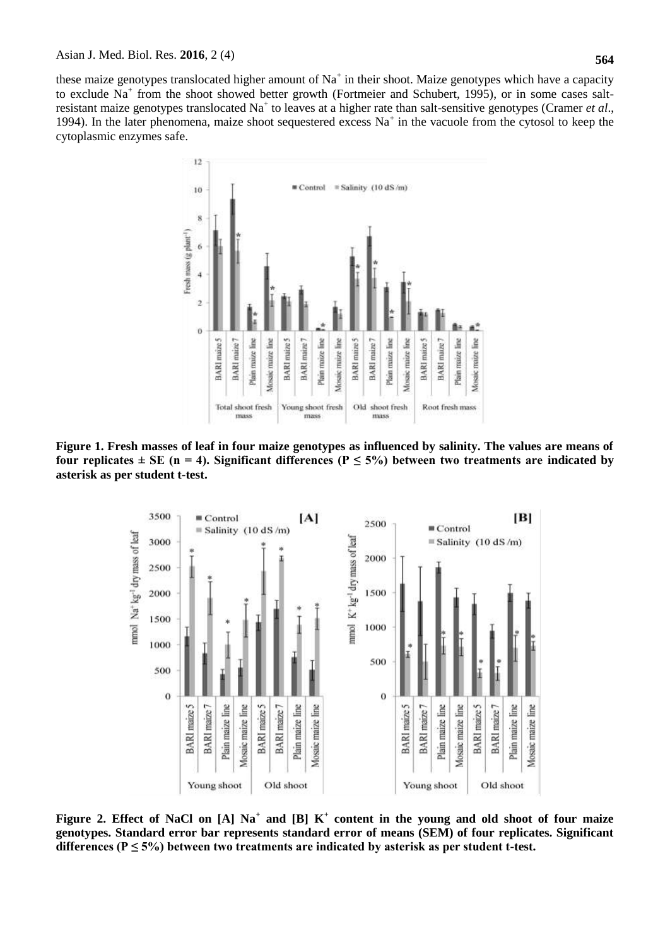these maize genotypes translocated higher amount of  $Na<sup>+</sup>$  in their shoot. Maize genotypes which have a capacity to exclude Na<sup>+</sup> from the shoot showed better growth (Fortmeier and Schubert, 1995), or in some cases saltresistant maize genotypes translocated Na<sup>+</sup> to leaves at a higher rate than salt-sensitive genotypes (Cramer *et al.*, 1994). In the later phenomena, maize shoot sequestered excess  $Na<sup>+</sup>$  in the vacuole from the cytosol to keep the cytoplasmic enzymes safe.



**Figure 1. Fresh masses of leaf in four maize genotypes as influenced by salinity. The values are means of**  four replicates  $\pm$  SE (n = 4). Significant differences (P  $\leq$  5%) between two treatments are indicated by **asterisk as per student t***-***test.**



**Figure 2. Effect of NaCl on [A] Na<sup>+</sup> and [B] K<sup>+</sup> content in the young and old shoot of four maize genotypes. Standard error bar represents standard error of means (SEM) of four replicates. Significant**  differences ( $P \le 5\%$ ) between two treatments are indicated by asterisk as per student t-test.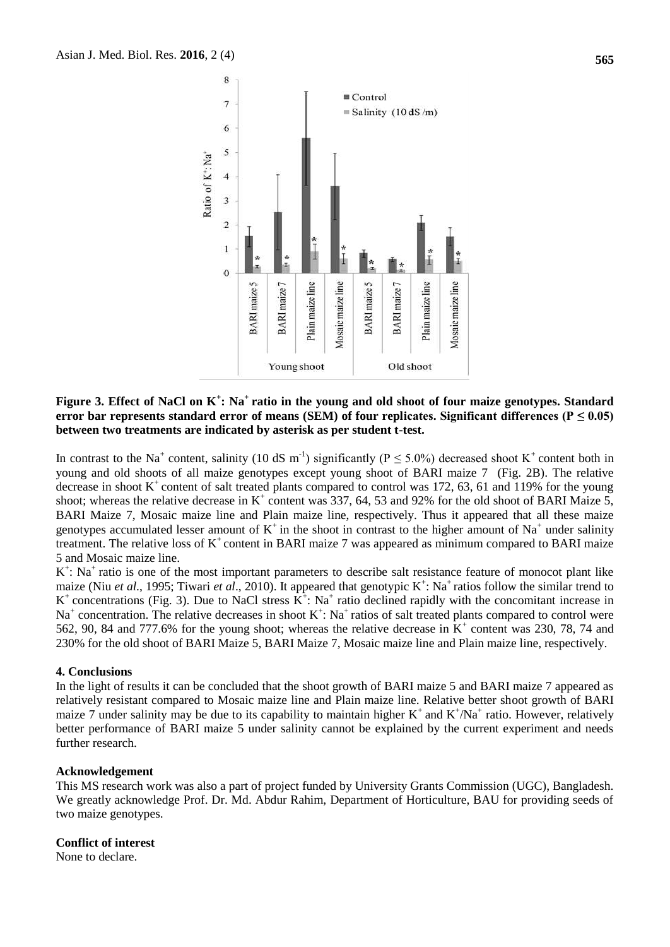



## **Figure 3. Effect of NaCl on K<sup>+</sup> : Na<sup>+</sup>ratio in the young and old shoot of four maize genotypes. Standard**  error bar represents standard error of means (SEM) of four replicates. Significant differences ( $P \le 0.05$ ) **between two treatments are indicated by asterisk as per student t-test.**

In contrast to the Na<sup>+</sup> content, salinity (10 dS m<sup>-1</sup>) significantly ( $P \le 5.0\%$ ) decreased shoot K<sup>+</sup> content both in young and old shoots of all maize genotypes except young shoot of BARI maize 7 (Fig. 2B). The relative decrease in shoot  $K^+$  content of salt treated plants compared to control was 172, 63, 61 and 119% for the young shoot; whereas the relative decrease in  $K^+$  content was 337, 64, 53 and 92% for the old shoot of BARI Maize 5, BARI Maize 7, Mosaic maize line and Plain maize line, respectively. Thus it appeared that all these maize genotypes accumulated lesser amount of  $K^+$  in the shoot in contrast to the higher amount of Na<sup>+</sup> under salinity treatment. The relative loss of  $K^+$  content in BARI maize 7 was appeared as minimum compared to BARI maize 5 and Mosaic maize line.

K<sup>+</sup>: Na<sup>+</sup> ratio is one of the most important parameters to describe salt resistance feature of monocot plant like maize (Niu *et al.*, 1995; Tiwari *et al.*, 2010). It appeared that genotypic K<sup>+</sup>: Na<sup>+</sup> ratios follow the similar trend to K<sup>+</sup> concentrations (Fig. 3). Due to NaCl stress  $\hat{K}^{\dagger}$ : Na<sup>+</sup> ratio declined rapidly with the concomitant increase in  $Na<sup>+</sup>$  concentration. The relative decreases in shoot  $K<sup>+</sup>$ : Na<sup>+</sup> ratios of salt treated plants compared to control were 562, 90, 84 and 777.6% for the young shoot; whereas the relative decrease in  $K^+$  content was 230, 78, 74 and 230% for the old shoot of BARI Maize 5, BARI Maize 7, Mosaic maize line and Plain maize line, respectively.

#### **4. Conclusions**

In the light of results it can be concluded that the shoot growth of BARI maize 5 and BARI maize 7 appeared as relatively resistant compared to Mosaic maize line and Plain maize line. Relative better shoot growth of BARI maize 7 under salinity may be due to its capability to maintain higher  $K^+$  and  $K^+/Na^+$  ratio. However, relatively better performance of BARI maize 5 under salinity cannot be explained by the current experiment and needs further research.

#### **Acknowledgement**

This MS research work was also a part of project funded by University Grants Commission (UGC), Bangladesh. We greatly acknowledge Prof. Dr. Md. Abdur Rahim, Department of Horticulture, BAU for providing seeds of two maize genotypes.

## **Conflict of interest**

None to declare.